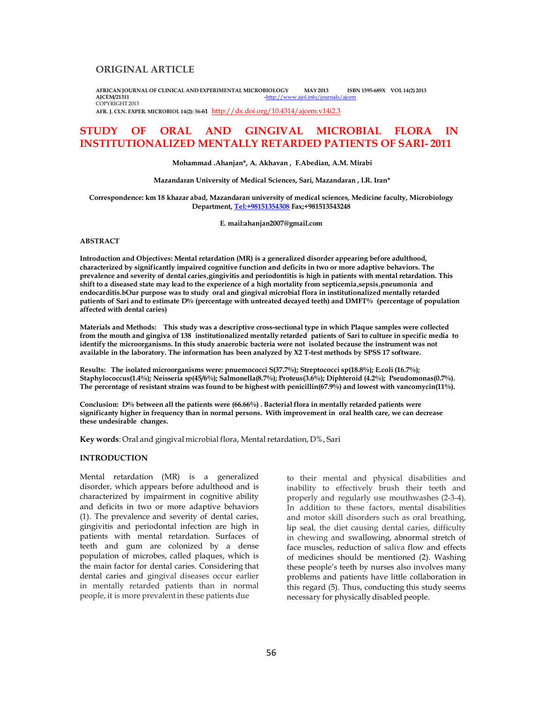# **ORIGINAL ARTICLE**

**AFRICAN JOURNAL OF CLINICAL AND EXPERIMENTAL MICROBIOLOGY MAY 2013 ISBN 1595-689X VOL 14(2) 2013 AJCEM/21311 -**http://www.ajol.info/journals/ajcem COPYRIGHT 2013

**AFR. J. CLN. EXPER. MICROBIOL 14(2): 56-61** http://dx.doi.org/10.4314/ajcem.v14 i2.3

# **STUDY OF ORAL AND GINGIVAL MICROBIAL FLORA IN INSTITUTIONALIZED MENTALLY RETARDED PATIENTS OF SARI- 2011**

**Mohammad .Ahanjan\*, A. Akhavan , F.Abedian, A.M. Mirabi**

#### **Mazandaran University of Medical Sciences, Sari, Mazandaran , I.R. Iran\***

**Correspondence: km 18 khazar abad, Mazandaran university of medical sciences, Medicine faculty, Microbiology Department, Tel:+98151354308 Fax;+981513543248**

**E. mail:ahanjan2007@gmail.com**

#### **ABSTRACT**

**Introduction and Objectives: Mental retardation (MR) is a generalized disorder appearing before adulthood, characterized by significantly impaired cognitive function and deficits in two or more adaptive behaviors. The prevalence and severity of dental caries'gingivitis and periodontitis is high in patients with mental retardation. This**  shift to a diseased state may lead to the experience of a high mortality from septicemia, sepsis, pneumonia and **endocarditis.bOur purpose was to study oral and gingival microbial flora in institutionalized mentally retarded patients of Sari and to estimate D% (percentage with untreated decayed teeth) and DMFT% (percentage of population affected with dental caries)**

**Materials and Methods: This study was a descriptive cross-sectional type in which Plaque samples were collected from the mouth and gingiva of 138 institutionalized mentally retarded patients of Sari to culture in specific media to identify the microorganisms. In this study anaerobic bacteria were not isolated because the instrument was not available in the laboratory. The information has been analyzed by X2 T-test methods by SPSS 17 software.**

**Results: The isolated microorganisms were: pnuemococci S(37.7%); Streptococci sp(18.8%); E.coli (16.7%); Staphylococcus(1.4%); Neisseria sp(45/6%); Salmonella(8.7%); Proteus(3.6%); Diphteroid (4.2%); Pseudomonas(0.7%). The percentage of resistant strains was found to be highest with penicillin(67.9%) and lowest with vancomycin(11%).**

**Conclusion: D% between all the patients were (66.66%) . Bacterial flora in mentally retarded patients were significanty higher in frequency than in normal persons. With improvement in oral health care, we can decrease these undesirable changes.**

**Key words**: Oral and gingival microbial flora, Mental retardation, D%, Sari

# **INTRODUCTION**

Mental retardation (MR) is a generalized disorder, which appears before adulthood and is characterized by impairment in cognitive ability and deficits in two or more adaptive behaviors (1). The prevalence and severity of dental caries, gingivitis and periodontal infection are high in patients with mental retardation. Surfaces of teeth and gum are colonized by a dense population of microbes, called plaques, which is the main factor for dental caries. Considering that dental caries and gingival diseases occur earlier in mentally retarded patients than in normal people, it is more prevalent in these patients due

to their mental and physical disabilities and inability to effectively brush their teeth and properly and regularly use mouthwashes (2-3-4). In addition to these factors, mental disabilities and motor skill disorders such as oral breathing, lip seal, the diet causing dental caries, difficulty in chewing and swallowing, abnormal stretch of face muscles, reduction of saliva flow and effects of medicines should be mentioned (2). Washing these people's teeth by nurses also involves many problems and patients have little collaboration in this regard (5). Thus, conducting this study seems necessary for physically disabled people.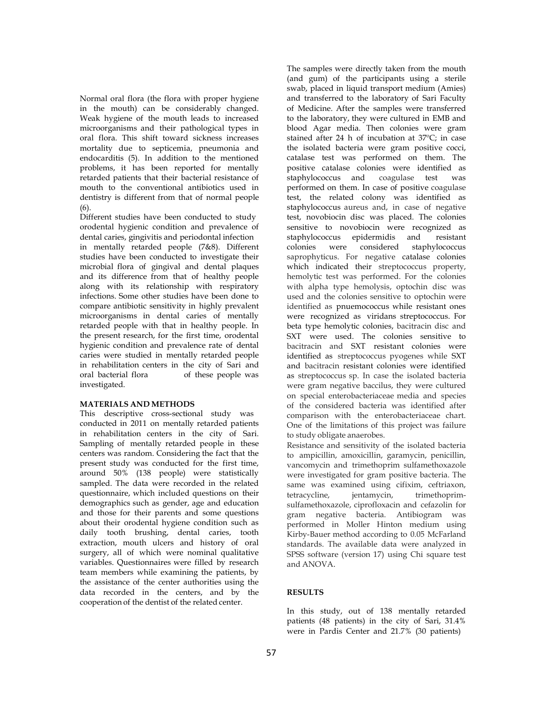Normal oral flora (the flora with proper hygiene in the mouth) can be considerably changed. Weak hygiene of the mouth leads to increased microorganisms and their pathological types in oral flora. This shift toward sickness increases mortality due to septicemia, pneumonia and endocarditis (5). In addition to the mentioned problems, it has been reported for mentally retarded patients that their bacterial resistance of mouth to the conventional antibiotics used in dentistry is different from that of normal people (6).

Different studies have been conducted to study orodental hygienic condition and prevalence of dental caries, gingivitis and periodontal infection in mentally retarded people (7&8). Different studies have been conducted to investigate their microbial flora of gingival and dental plaques and its difference from that of healthy people along with its relationship with respiratory infections. Some other studies have been done to compare antibiotic sensitivity in highly prevalent microorganisms in dental caries of mentally retarded people with that in healthy people. In the present research, for the first time, orodental hygienic condition and prevalence rate of dental caries were studied in mentally retarded people in rehabilitation centers in the city of Sari and oral bacterial flora of these people was investigated.

## **MATERIALS AND METHODS**

This descriptive cross-sectional study was conducted in 2011 on mentally retarded patients in rehabilitation centers in the city of Sari. Sampling of mentally retarded people in these centers was random. Considering the fact that the present study was conducted for the first time, around 50% (138 people) were statistically sampled. The data were recorded in the related questionnaire, which included questions on their demographics such as gender, age and education and those for their parents and some questions about their orodental hygiene condition such as daily tooth brushing, dental caries, tooth extraction, mouth ulcers and history of oral surgery, all of which were nominal qualitative variables. Questionnaires were filled by research team members while examining the patients, by the assistance of the center authorities using the data recorded in the centers, and by the cooperation of the dentist of the related center.

The samples were directly taken from the mouth (and gum) of the participants using a sterile swab, placed in liquid transport medium (Amies) and transferred to the laboratory of Sari Faculty of Medicine. After the samples were transferred to the laboratory, they were cultured in EMB and blood Agar media. Then colonies were gram stained after 24 h of incubation at 37ºC; in case the isolated bacteria were gram positive cocci, catalase test was performed on them. The positive catalase colonies were identified as staphylococcus and coagulase test was performed on them. In case of positive coagulase test, the related colony was identified as staphylococcus aureus and, in case of negative test, novobiocin disc was placed. The colonies sensitive to novobiocin were recognized as staphylococcus epidermidis and resistant colonies were considered staphylococcus saprophyticus. For negative catalase colonies which indicated their streptococcus property, hemolytic test was performed. For the colonies with alpha type hemolysis, optochin disc was used and the colonies sensitive to optochin were identified as pnuemococcus while resistant ones were recognized as viridans streptococcus. For beta type hemolytic colonies, bacitracin disc and SXT were used. The colonies sensitive to bacitracin and SXT resistant colonies were identified as streptococcus pyogenes while SXT and bacitracin resistant colonies were identified as streptococcus sp. In case the isolated bacteria were gram negative baccilus, they were cultured on special enterobacteriaceae media and species of the considered bacteria was identified after comparison with the enterobacteriaceae chart. One of the limitations of this project was failure to study obligate anaerobes.

Resistance and sensitivity of the isolated bacteria to ampicillin, amoxicillin, garamycin, penicillin, vancomycin and trimethoprim sulfamethoxazole were investigated for gram positive bacteria. The same was examined using cifixim, ceftriaxon, tetracycline, jentamycin, trimethoprimsulfamethoxazole, ciprofloxacin and cefazolin for gram negative bacteria. Antibiogram was performed in Moller Hinton medium using Kirby-Bauer method according to 0.05 McFarland standards. The available data were analyzed in SPSS software (version 17) using Chi square test and ANOVA.

#### **RESULTS**

In this study, out of 138 mentally retarded patients (48 patients) in the city of Sari, 31.4% were in Pardis Center and 21.7% (30 patients)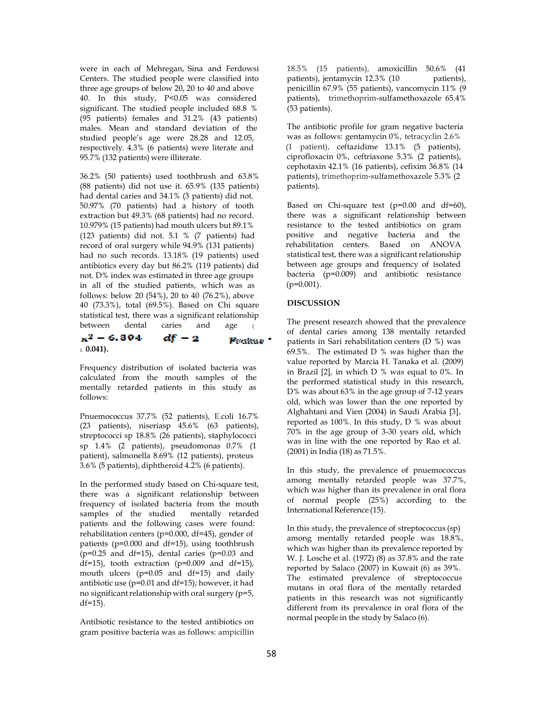were in each of Mehregan, Sina and Ferdowsi Centers. The studied people were classified into three age groups of below 20, 20 to 40 and above 40. In this study, P<0.05 was considered significant. The studied people included 68.8 % (95 patients) females and 31.2% (43 patients) males. Mean and standard deviation of the studied people's age were 28.28 and 12.05, respectively.  $4.3\%$  (6 patients) were literate and 95.7% (132 patients) were illiterate.

36.2% (50 patients) used toothbrush and 63.8% (88 patients) did not use it. 65.9% (135 patients) had dental caries and 34.1% (3 patients) did not. 50.97% (70 patients) had a history of tooth extraction but 49.3% (68 patients) had no record. 10.979% (15 patients) had mouth ulcers but 89.1% (123 patients) did not. 5.1 % (7 patients) had positive and negative bacteria and the record of oral surgery while 94.9% (131 patients) had no such records. 13.18% (19 patients) used antibiotics every day but 86.2% (119 patients) did not. D% index was estimated in three age groups in all of the studied patients, which was as  $(p=0.001)$ . follows: below 20 (54%), 20 to 40 (76.2%), above 40 (73.3%), total (69.5%). Based on Chi square statistical test, there was a significant relationship between dental caries and age (

#### $x^2 - 6.394$ df - 2 Poskae = ). **0.041).**

Frequency distribution of isolated bacteria was calculated from the mouth samples of the mentally retarded patients in this study as follows:

Pnuemococcus 37.7% (52 patients), E.coli 16.7% (23 patients), niseriasp 45.6% (63 patients), streptococci sp 18.8% (26 patients), staphylococci sp 1.4% (2 patients), pseudomonas 0.7% (1 patient), salmonella 8.69% (12 patients), proteus 3.6% (5 patients), diphtheroid 4.2% (6 patients).

In the performed study based on Chi-square test, there was a significant relationship between frequency of isolated bacteria from the mouth samples of the studied mentally retarded patients and the following cases were found: rehabilitation centers (p=0.000, df=45), gender of patients (p=0.000 and df=15), using toothbrush  $(p=0.25$  and df=15), dental caries  $(p=0.03$  and df=15), tooth extraction ( $p=0.009$  and df=15), mouth ulcers (p=0.05 and df=15) and daily antibiotic use (p=0.01 and df=15); however, it had no significant relationship with oral surgery (p=5,  $df=15$ ).

Antibiotic resistance to the tested antibiotics on gram positive bacteria was as follows: ampicillin 18.5% (15 patients), amoxicillin 50.6% (41 patients), jentamycin 12.3% (10 patients), penicillin 67.9% (55 patients), vancomycin 11% (9 patients), trimethoprim-sulfamethoxazole 65.4% (53 patients).

The antibiotic profile for gram negative bacteria was as follows: gentamycin 0%, tetracyclin 2.6%<br>(1 patient), ceftazidime 13.1% (5 patients), ciprofloxacin 0%, ceftriaxone 5.3% (2 patients), cephotaxin 42.1% (16 patients), cefixim 36.8% (14 patients), trimethoprim-sulfamethoxazole 5.3% (2 patients).

Based on Chi-square test ( $p=0.00$  and  $df=60$ ), there was a significant relationship between resistance to the tested antibiotics on gram<br>positive and negative bacteria and the statistical test, there was a significant relationship between age groups and frequency of isolated bacteria (p=0.009) and antibiotic resistance

# **DISCUSSION**

The present research showed that the prevalence of dental caries among 138 mentally retarded patients in Sari rehabilitation centers (D %) was  $69.5\%$ . The estimated D % was higher than the value reported by Marcia H. Tanaka et al. (2009) in Brazil [2], in which D % was equal to 0%. In the performed statistical study in this research, D% was about 63% in the age group of 7-12 years old, which was lower than the one reported by Alghahtani and Vien (2004) in Saudi Arabia [3], reported as 100%. In this study, D % was about 70% in the age group of 3-30 years old, which was in line with the one reported by Rao et al. (2001) in India (18) as 71.5%.

In this study, the prevalence of pnuemococcus among mentally retarded people was 37.7%, which was higher than its prevalence in oral flora of normal people (25%) according to the International Reference (15).

In this study, the prevalence of streptococcus (sp) among mentally retarded people was 18.8%, which was higher than its prevalence reported by W. J. Losche et al. (1972) (8) as 37.8% and the rate reported by Salaco (2007) in Kuwait (6) as 39%. The estimated prevalence of streptococcus mutans in oral flora of the mentally retarded patients in this research was not significantly different from its prevalence in oral flora of the normal people in the study by Salaco (6).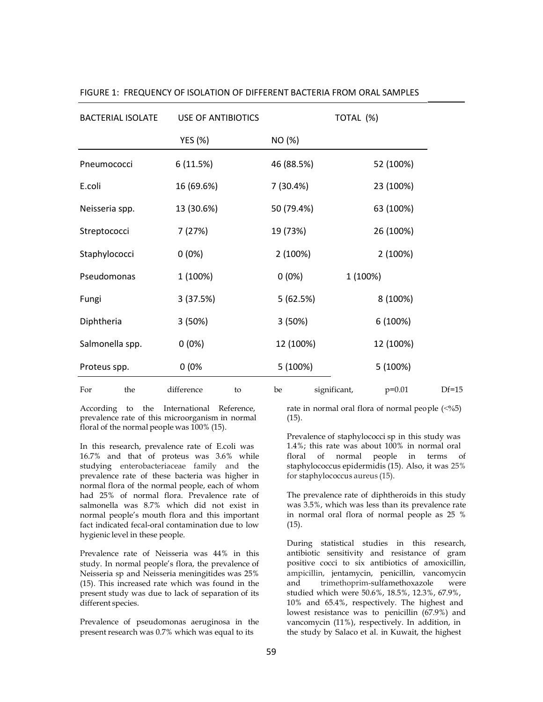| <b>BACTERIAL ISOLATE</b> | <b>USE OF ANTIBIOTICS</b> |            | TOTAL (%)                |         |
|--------------------------|---------------------------|------------|--------------------------|---------|
|                          | YES (%)                   | NO (%)     |                          |         |
| Pneumococci              | 6 (11.5%)                 | 46 (88.5%) | 52 (100%)                |         |
| E.coli                   | 16 (69.6%)                | 7 (30.4%)  | 23 (100%)                |         |
| Neisseria spp.           | 13 (30.6%)                | 50 (79.4%) | 63 (100%)                |         |
| Streptococci             | 7 (27%)                   | 19 (73%)   | 26 (100%)                |         |
| Staphylococci            | $0(0\%)$                  | 2 (100%)   | 2 (100%)                 |         |
| Pseudomonas              | 1 (100%)                  | $0(0\%)$   | 1 (100%)                 |         |
| Fungi                    | 3(37.5%)                  | 5 (62.5%)  | 8 (100%)                 |         |
| Diphtheria               | 3(50%)                    | 3 (50%)    | 6 (100%)                 |         |
| Salmonella spp.          | $0(0\%)$                  | 12 (100%)  | 12 (100%)                |         |
| Proteus spp.             | 0(0%                      | 5 (100%)   | 5 (100%)                 |         |
| For<br>the               | difference<br>to          | be         | significant,<br>$p=0.01$ | $Df=15$ |

FIGURE 1: FREQUENCY OF ISOLATION OF DIFFERENT BACTERIA FROM ORAL SAMPLES

prevalence rate of this microorganism in normal floral of the normal people was 100% (15).

In this research, prevalence rate of E.coli was 16.7% and that of proteus was 3.6% while studying enterobacteriaceae family and the prevalence rate of these bacteria was higher in normal flora of the normal people, each of whom had 25% of normal flora. Prevalence rate of salmonella was 8.7% which did not exist in normal people's mouth flora and this important fact indicated fecal-oral contamination due to low hygienic level in these people.

Prevalence rate of Neisseria was 44% in this study. In normal people's flora, the prevalence of Neisseria sp and Neisseria meningitides was 25% (15). This increased rate which was found in the present study was due to lack of separation of its different species.

Prevalence of pseudomonas aeruginosa in the present research was 0.7% which was equal to its

According to the International Reference, rate in normal oral flora of normal people  $\langle \langle \cdot \rangle \rangle$ (15).

> Prevalence of staphylococci sp in this study was 1.4%; this rate was about 100% in normal oral floral of normal people in terms of staphylococcus epidermidis (15). Also, it was 25% for staphylococcus aureus (15).

> The prevalence rate of diphtheroids in this study was 3.5%, which was less than its prevalence rate in normal oral flora of normal people as 25 %  $(15)$ .

> During statistical studies in this research, antibiotic sensitivity and resistance of gram positive cocci to six antibiotics of amoxicillin, ampicillin, jentamycin, penicillin, vancomycin and trimethoprim-sulfamethoxazole were studied which were 50.6%, 18.5%, 12.3%, 67.9%, 10% and 65.4%, respectively. The highest and lowest resistance was to penicillin (67.9%) and vancomycin (11%), respectively. In addition, in the study by Salaco et al. in Kuwait, the highest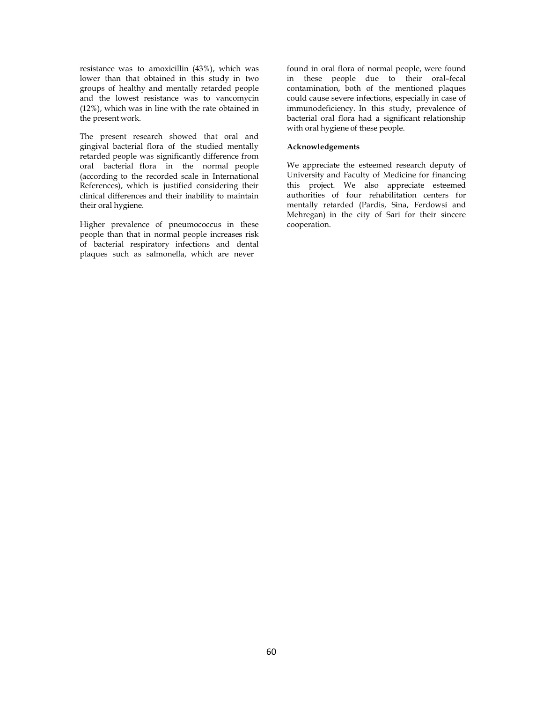resistance was to amoxicillin (43%), which was lower than that obtained in this study in two groups of healthy and mentally retarded people and the lowest resistance was to vancomycin (12%), which was in line with the rate obtained in the present work.

The present research showed that oral and gingival bacterial flora of the studied mentally retarded people was significantly difference from oral bacterial flora in the normal people (according to the recorded scale in International References), which is justified considering their clinical differences and their inability to maintain their oral hygiene.

Higher prevalence of pneumococcus in these people than that in normal people increases risk of bacterial respiratory infections and dental plaques such as salmonella, which are never

found in oral flora of normal people, were found in these people due to their oral–fecal contamination, both of the mentioned plaques could cause severe infections, especially in case of immunodeficiency. In this study, prevalence of bacterial oral flora had a significant relationship with oral hygiene of these people.

### **Acknowledgements**

We appreciate the esteemed research deputy of University and Faculty of Medicine for financing this project. We also appreciate esteemed authorities of four rehabilitation centers for mentally retarded (Pardis, Sina, Ferdowsi and Mehregan) in the city of Sari for their sincere cooperation.